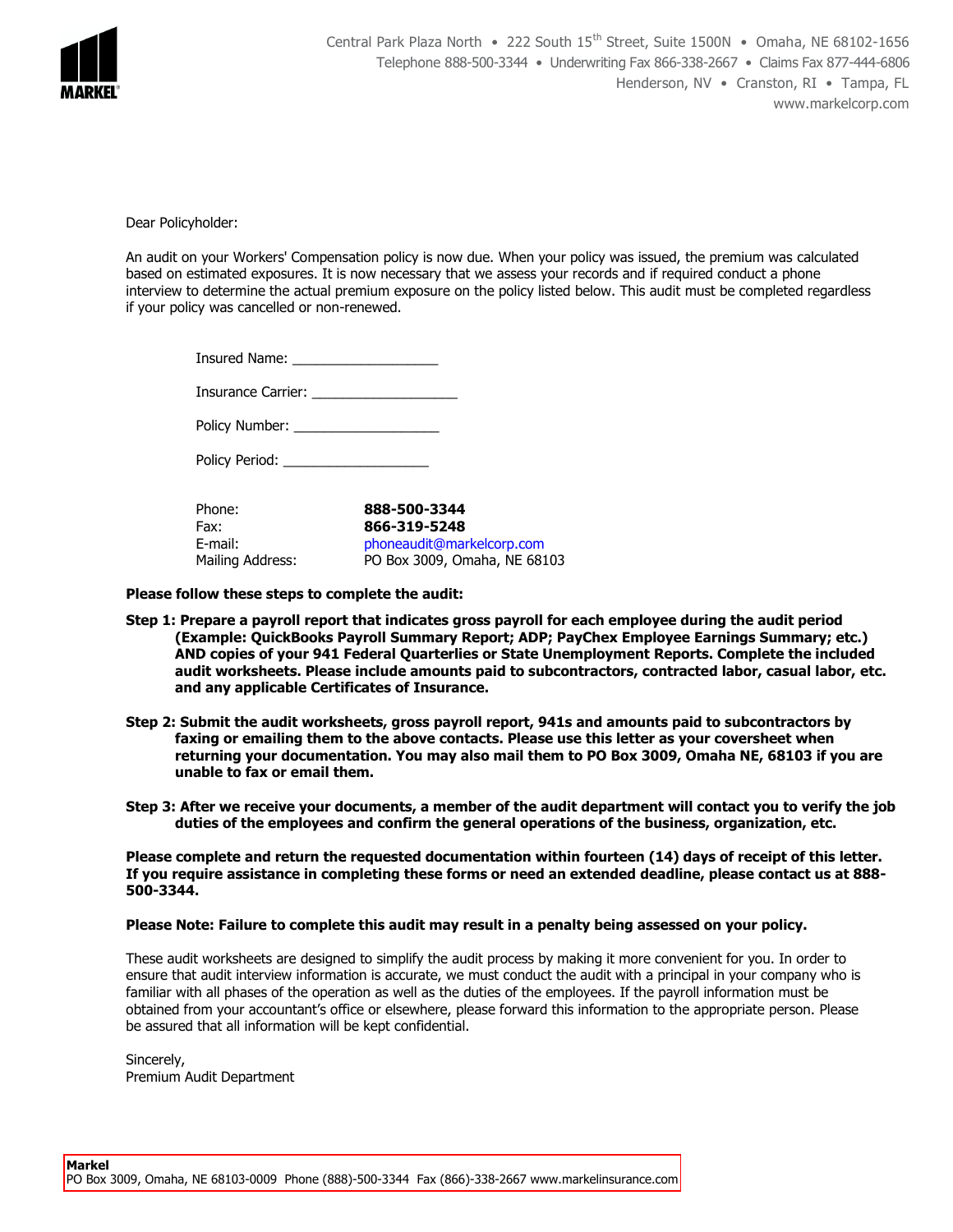

Dear Policyholder:

An audit on your Workers' Compensation policy is now due. When your policy was issued, the premium was calculated based on estimated exposures. It is now necessary that we assess your records and if required conduct a phone interview to determine the actual premium exposure on the policy listed below. This audit must be completed regardless if your policy was cancelled or non-renewed.

| <b>Insured Name:</b> |  |
|----------------------|--|
|----------------------|--|

Insurance Carrier: \_\_\_\_\_\_\_\_\_\_\_\_\_\_\_\_\_\_\_

| Policy Number: |  |
|----------------|--|
|                |  |

Policy Period:

| Phone:           | 888-500-3344                              |
|------------------|-------------------------------------------|
| Fax:<br>E-mail:  | 866-319-5248<br>phoneaudit@markelcorp.com |
| Mailing Address: | PO Box 3009, Omaha, NE 68103              |

**Please follow these steps to complete the audit:**

- **Step 1: Prepare a payroll report that indicates gross payroll for each employee during the audit period (Example: QuickBooks Payroll Summary Report; ADP; PayChex Employee Earnings Summary; etc.) AND copies of your 941 Federal Quarterlies or State Unemployment Reports. Complete the included audit worksheets. Please include amounts paid to subcontractors, contracted labor, casual labor, etc. and any applicable Certificates of Insurance.**
- **Step 2: Submit the audit worksheets, gross payroll report, 941s and amounts paid to subcontractors by faxing or emailing them to the above contacts. Please use this letter as your coversheet when returning your documentation. You may also mail them to PO Box 3009, Omaha NE, 68103 if you are unable to fax or email them.**
- **Step 3: After we receive your documents, a member of the audit department will contact you to verify the job duties of the employees and confirm the general operations of the business, organization, etc.**

**Please complete and return the requested documentation within fourteen (14) days of receipt of this letter. If you require assistance in completing these forms or need an extended deadline, please contact us at 888- 500-3344.** 

## **Please Note: Failure to complete this audit may result in a penalty being assessed on your policy.**

These audit worksheets are designed to simplify the audit process by making it more convenient for you. In order to ensure that audit interview information is accurate, we must conduct the audit with a principal in your company who is familiar with all phases of the operation as well as the duties of the employees. If the payroll information must be obtained from your accountant's office or elsewhere, please forward this information to the appropriate person. Please be assured that all information will be kept confidential.

Sincerely, Premium Audit Department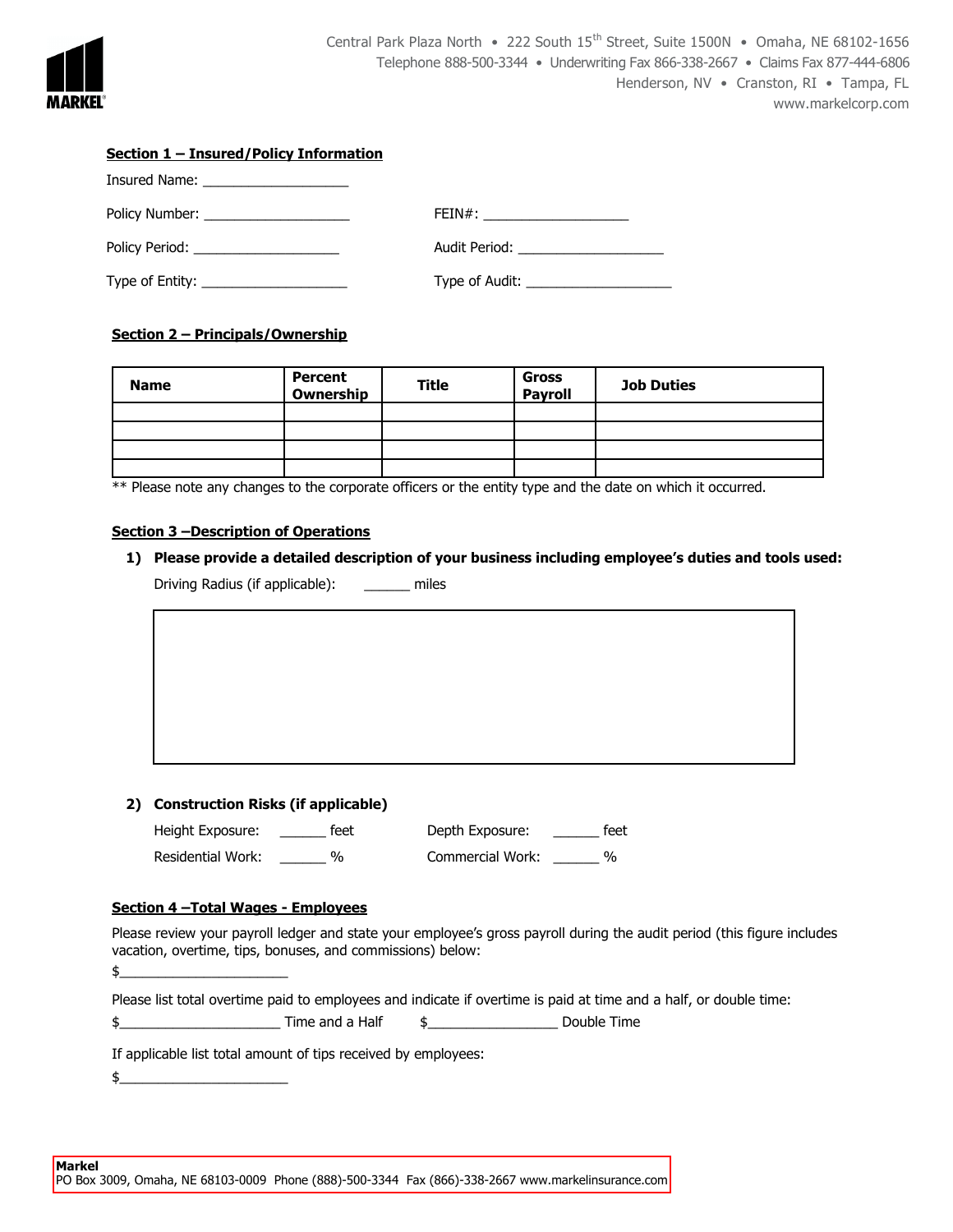

| Section 1 - Insured/Policy Information |                                     |  |  |  |  |
|----------------------------------------|-------------------------------------|--|--|--|--|
|                                        |                                     |  |  |  |  |
| Policy Number: ______________________  | FEIN#: _______________________      |  |  |  |  |
|                                        | Audit Period: _____________________ |  |  |  |  |
|                                        | Type of Audit: $\sqrt{ }$           |  |  |  |  |

# **Section 2 – Principals/Ownership**

| <b>Name</b> | <b>Percent</b><br>Ownership | <b>Title</b> | Gross<br>Payroll | <b>Job Duties</b> |
|-------------|-----------------------------|--------------|------------------|-------------------|
|             |                             |              |                  |                   |
|             |                             |              |                  |                   |
|             |                             |              |                  |                   |
|             |                             |              |                  |                   |

\*\* Please note any changes to the corporate officers or the entity type and the date on which it occurred.

#### **Section 3 –Description of Operations**

**1) Please provide a detailed description of your business including employee's duties and tools used:** Driving Radius (if applicable): \_\_\_\_\_\_ miles

### **2) Construction Risks (if applicable)**

| Height Exposure:  | feet          | Depth Exposure:  | feet |
|-------------------|---------------|------------------|------|
| Residential Work: | $\frac{1}{2}$ | Commercial Work: | %    |

### **Section 4 –Total Wages - Employees**

Please review your payroll ledger and state your employee's gross payroll during the audit period (this figure includes vacation, overtime, tips, bonuses, and commissions) below:  $\frac{1}{2}$ 

Please list total overtime paid to employees and indicate if overtime is paid at time and a half, or double time:

 $\frac{1}{2}$  S and a Half  $\frac{1}{2}$  and a Half  $\frac{1}{2}$  Double Time

If applicable list total amount of tips received by employees:

 $\updownarrow$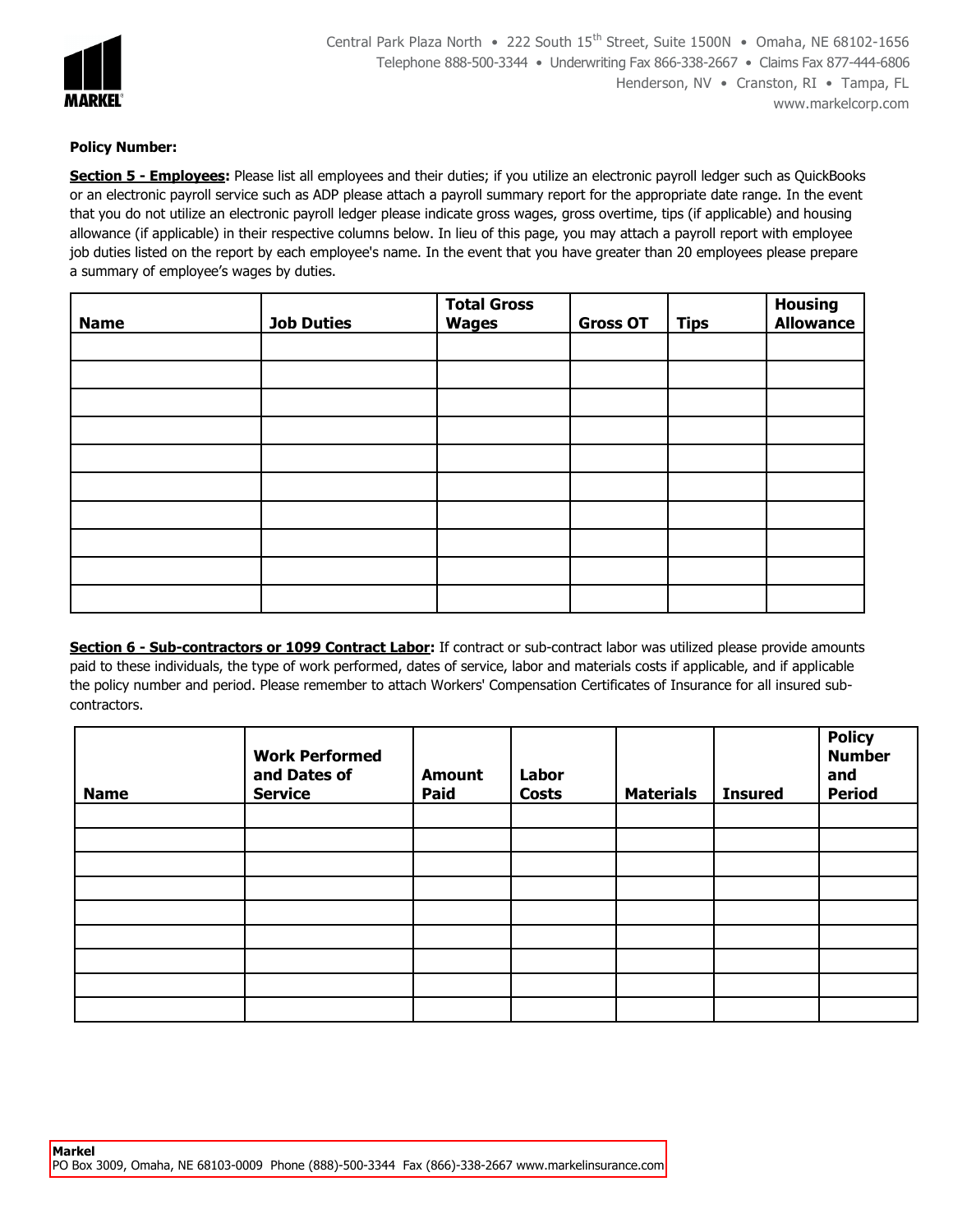

### **Policy Number:**

**Section 5 - Employees:** Please list all employees and their duties; if you utilize an electronic payroll ledger such as QuickBooks or an electronic payroll service such as ADP please attach a payroll summary report for the appropriate date range. In the event that you do not utilize an electronic payroll ledger please indicate gross wages, gross overtime, tips (if applicable) and housing allowance (if applicable) in their respective columns below. In lieu of this page, you may attach a payroll report with employee job duties listed on the report by each employee's name. In the event that you have greater than 20 employees please prepare a summary of employee's wages by duties.

| <b>Name</b> | <b>Job Duties</b> | <b>Total Gross</b><br><b>Wages</b> | <b>Gross OT</b> | <b>Tips</b> | <b>Housing<br/>Allowance</b> |
|-------------|-------------------|------------------------------------|-----------------|-------------|------------------------------|
|             |                   |                                    |                 |             |                              |
|             |                   |                                    |                 |             |                              |
|             |                   |                                    |                 |             |                              |
|             |                   |                                    |                 |             |                              |
|             |                   |                                    |                 |             |                              |
|             |                   |                                    |                 |             |                              |
|             |                   |                                    |                 |             |                              |
|             |                   |                                    |                 |             |                              |
|             |                   |                                    |                 |             |                              |
|             |                   |                                    |                 |             |                              |

**Section 6 - Sub-contractors or 1099 Contract Labor:** If contract or sub-contract labor was utilized please provide amounts paid to these individuals, the type of work performed, dates of service, labor and materials costs if applicable, and if applicable the policy number and period. Please remember to attach Workers' Compensation Certificates of Insurance for all insured subcontractors.

| <b>Name</b> | <b>Work Performed</b><br>and Dates of<br><b>Service</b> | <b>Amount</b><br>Paid | Labor<br><b>Costs</b> | <b>Materials</b> | <b>Insured</b> | <b>Policy</b><br><b>Number</b><br>and<br><b>Period</b> |
|-------------|---------------------------------------------------------|-----------------------|-----------------------|------------------|----------------|--------------------------------------------------------|
|             |                                                         |                       |                       |                  |                |                                                        |
|             |                                                         |                       |                       |                  |                |                                                        |
|             |                                                         |                       |                       |                  |                |                                                        |
|             |                                                         |                       |                       |                  |                |                                                        |
|             |                                                         |                       |                       |                  |                |                                                        |
|             |                                                         |                       |                       |                  |                |                                                        |
|             |                                                         |                       |                       |                  |                |                                                        |
|             |                                                         |                       |                       |                  |                |                                                        |
|             |                                                         |                       |                       |                  |                |                                                        |